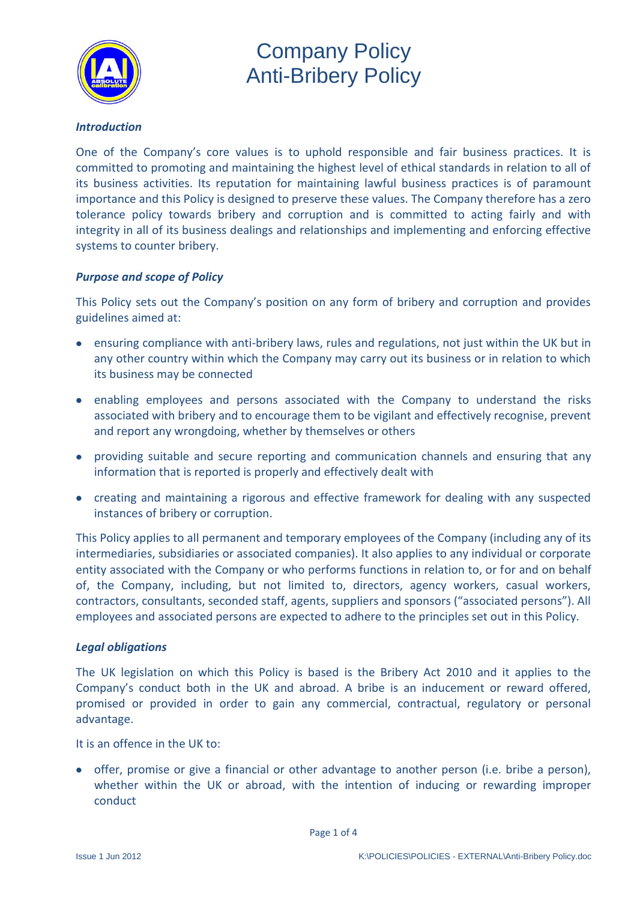

#### *Introduction*

One of the Company's core values is to uphold responsible and fair business practices. It is committed to promoting and maintaining the highest level of ethical standards in relation to all of its business activities. Its reputation for maintaining lawful business practices is of paramount importance and this Policy is designed to preserve these values. The Company therefore has a zero tolerance policy towards bribery and corruption and is committed to acting fairly and with integrity in all of its business dealings and relationships and implementing and enforcing effective systems to counter bribery.

### *Purpose and scope of Policy*

This Policy sets out the Company's position on any form of bribery and corruption and provides guidelines aimed at:

- ensuring compliance with anti-bribery laws, rules and regulations, not just within the UK but in any other country within which the Company may carry out its business or in relation to which its business may be connected
- enabling employees and persons associated with the Company to understand the risks associated with bribery and to encourage them to be vigilant and effectively recognise, prevent and report any wrongdoing, whether by themselves or others
- providing suitable and secure reporting and communication channels and ensuring that any information that is reported is properly and effectively dealt with
- creating and maintaining a rigorous and effective framework for dealing with any suspected instances of bribery or corruption.

This Policy applies to all permanent and temporary employees of the Company (including any of its intermediaries, subsidiaries or associated companies). It also applies to any individual or corporate entity associated with the Company or who performs functions in relation to, or for and on behalf of, the Company, including, but not limited to, directors, agency workers, casual workers, contractors, consultants, seconded staff, agents, suppliers and sponsors ("associated persons"). All employees and associated persons are expected to adhere to the principles set out in this Policy.

#### *Legal obligations*

The UK legislation on which this Policy is based is the Bribery Act 2010 and it applies to the Company's conduct both in the UK and abroad. A bribe is an inducement or reward offered, promised or provided in order to gain any commercial, contractual, regulatory or personal advantage.

It is an offence in the UK to:

offer, promise or give a financial or other advantage to another person (i.e. bribe a person), whether within the UK or abroad, with the intention of inducing or rewarding improper conduct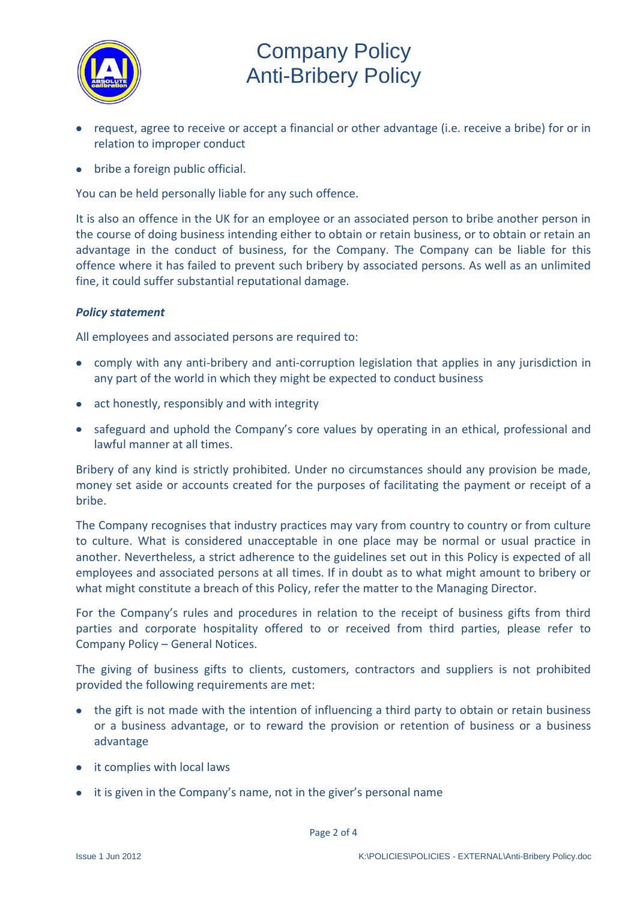

- request, agree to receive or accept a financial or other advantage (i.e. receive a bribe) for or in relation to improper conduct
- bribe a foreign public official.

You can be held personally liable for any such offence.

It is also an offence in the UK for an employee or an associated person to bribe another person in the course of doing business intending either to obtain or retain business, or to obtain or retain an advantage in the conduct of business, for the Company. The Company can be liable for this offence where it has failed to prevent such bribery by associated persons. As well as an unlimited fine, it could suffer substantial reputational damage.

### *Policy statement*

All employees and associated persons are required to:

- comply with any anti-bribery and anti-corruption legislation that applies in any jurisdiction in any part of the world in which they might be expected to conduct business
- act honestly, responsibly and with integrity
- safeguard and uphold the Company's core values by operating in an ethical, professional and lawful manner at all times.

Bribery of any kind is strictly prohibited. Under no circumstances should any provision be made, money set aside or accounts created for the purposes of facilitating the payment or receipt of a bribe.

The Company recognises that industry practices may vary from country to country or from culture to culture. What is considered unacceptable in one place may be normal or usual practice in another. Nevertheless, a strict adherence to the guidelines set out in this Policy is expected of all employees and associated persons at all times. If in doubt as to what might amount to bribery or what might constitute a breach of this Policy, refer the matter to the Managing Director.

For the Company's rules and procedures in relation to the receipt of business gifts from third parties and corporate hospitality offered to or received from third parties, please refer to Company Policy – General Notices.

The giving of business gifts to clients, customers, contractors and suppliers is not prohibited provided the following requirements are met:

- the gift is not made with the intention of influencing a third party to obtain or retain business or a business advantage, or to reward the provision or retention of business or a business advantage
- it complies with local laws
- it is given in the Company's name, not in the giver's personal name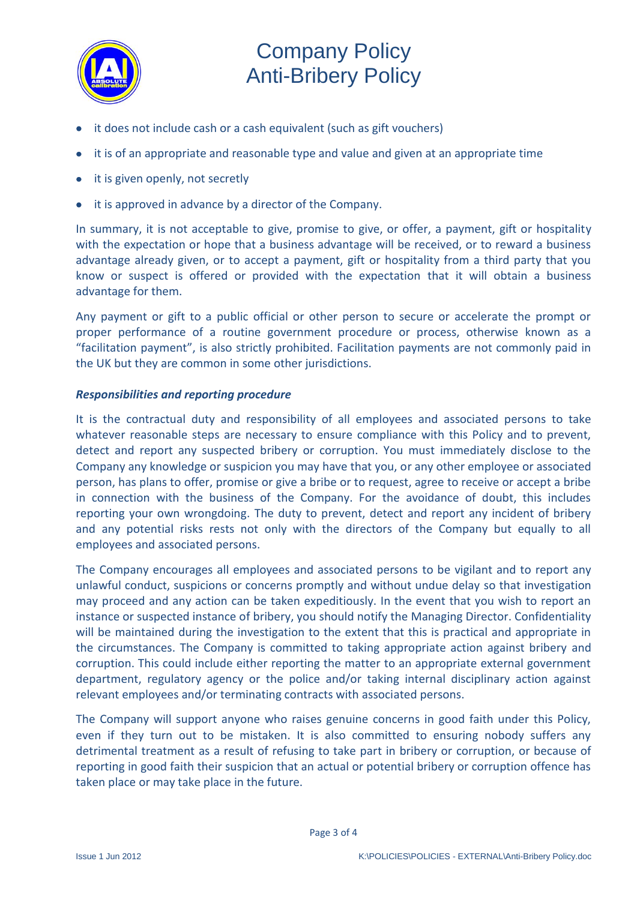

- it does not include cash or a cash equivalent (such as gift vouchers)
- it is of an appropriate and reasonable type and value and given at an appropriate time
- it is given openly, not secretly
- it is approved in advance by a director of the Company.

In summary, it is not acceptable to give, promise to give, or offer, a payment, gift or hospitality with the expectation or hope that a business advantage will be received, or to reward a business advantage already given, or to accept a payment, gift or hospitality from a third party that you know or suspect is offered or provided with the expectation that it will obtain a business advantage for them.

Any payment or gift to a public official or other person to secure or accelerate the prompt or proper performance of a routine government procedure or process, otherwise known as a "facilitation payment", is also strictly prohibited. Facilitation payments are not commonly paid in the UK but they are common in some other jurisdictions.

### *Responsibilities and reporting procedure*

It is the contractual duty and responsibility of all employees and associated persons to take whatever reasonable steps are necessary to ensure compliance with this Policy and to prevent, detect and report any suspected bribery or corruption. You must immediately disclose to the Company any knowledge or suspicion you may have that you, or any other employee or associated person, has plans to offer, promise or give a bribe or to request, agree to receive or accept a bribe in connection with the business of the Company. For the avoidance of doubt, this includes reporting your own wrongdoing. The duty to prevent, detect and report any incident of bribery and any potential risks rests not only with the directors of the Company but equally to all employees and associated persons.

The Company encourages all employees and associated persons to be vigilant and to report any unlawful conduct, suspicions or concerns promptly and without undue delay so that investigation may proceed and any action can be taken expeditiously. In the event that you wish to report an instance or suspected instance of bribery, you should notify the Managing Director. Confidentiality will be maintained during the investigation to the extent that this is practical and appropriate in the circumstances. The Company is committed to taking appropriate action against bribery and corruption. This could include either reporting the matter to an appropriate external government department, regulatory agency or the police and/or taking internal disciplinary action against relevant employees and/or terminating contracts with associated persons.

The Company will support anyone who raises genuine concerns in good faith under this Policy, even if they turn out to be mistaken. It is also committed to ensuring nobody suffers any detrimental treatment as a result of refusing to take part in bribery or corruption, or because of reporting in good faith their suspicion that an actual or potential bribery or corruption offence has taken place or may take place in the future.